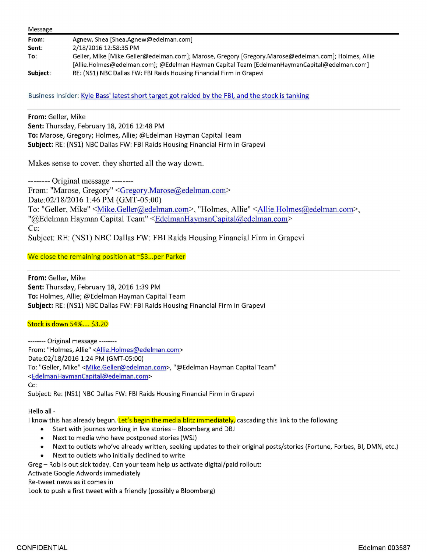| Message  |                                                                                                     |
|----------|-----------------------------------------------------------------------------------------------------|
| From:    | Agnew, Shea [Shea.Agnew@edelman.com]                                                                |
| Sent:    | 2/18/2016 12:58:35 PM                                                                               |
| To:      | Geller, Mike [Mike.Geller@edelman.com]; Marose, Gregory [Gregory.Marose@edelman.com]; Holmes, Allie |
|          | [Allie.Holmes@edelman.com]; @Edelman Hayman Capital Team [EdelmanHaymanCapital@edelman.com]         |
| Subject: | RE: (NS1) NBC Dallas FW: FBI Raids Housing Financial Firm in Grapevi                                |

Business Insider: Kyle Bass' latest short target got raided by the FBI, and the stock is tanking

**From:** Geller, Mike

**Sent:** Thursday, February 18, 2016 12:48 PM **To:** Marose, Gregory; Holmes, Allie; @Edelman Hayman Capital Team **Subject:** RE: (NSl) NBC Dallas FW: FBI Raids Housing Financial Firm in Grapevi

Makes sense to cover. they shorted all the way down.

-------- Original message -------- From: "Marose, Gregory" <Gregory.Marose@edelman.com> Date:02/18/2016 1:46 PM (GMT-05:00) To: "Geller, Mike" <Mike.Geller@edelman.com>, "Holmes, Allie" <Allie.Holmes@edelman.com>, "@Edelman Hayman Capital Team" <EdelmanHaymanCapital@edelman.com> Cc: Subject: RE: (NSI) NBC Dallas FW: FBI Raids Housing Financial Firm in Grapevi

We close the remaining position at  $\gamma$ \$3... per Parker

**From:** Geller, Mike **Sent:** Thursday, February 18, 2016 1:39 PM **To:** Holmes, Allie; @Edelman Hayman Capital Team **Subject:** RE: (NSl) NBC Dallas FW: FBI Raids Housing Financial Firm in Grapevi

## Stock is down 54% .... \$3.20

-------- Original message-------- From: "Holmes, Allie" <Allie.Holmes@edelman.com> Date:02/18/2016 1:24 PM (GMT-05:00) To: "Geller, Mike" <Mike.Geller@edelman.com>, "@Edelman Hayman Capital Team" <EdelmanHaymanCapital@edelman.com> Cc: Subject: Re: (NSl) NBC Dallas FW: FBI Raids Housing Financial Firm in Grapevi

Hello all -

I know this has already begun. Let's begin the media blitz immediately, cascading this link to the following

- Start with journos working in live stories Bloomberg and DBJ
- Next to media who have postponed stories (WSJ)
- Next to outlets who've already written, seeking updates to their original posts/stories (Fortune, Forbes, Bl, DMN, etc.)
- Next to outlets who initially declined to write

Greg - Rob is out sick today. Can your team help us activate digital/paid rollout:

Activate Google Adwords immediately

Re-tweet news as it comes in

Look to push a first tweet with a friendly (possibly a Bloomberg)